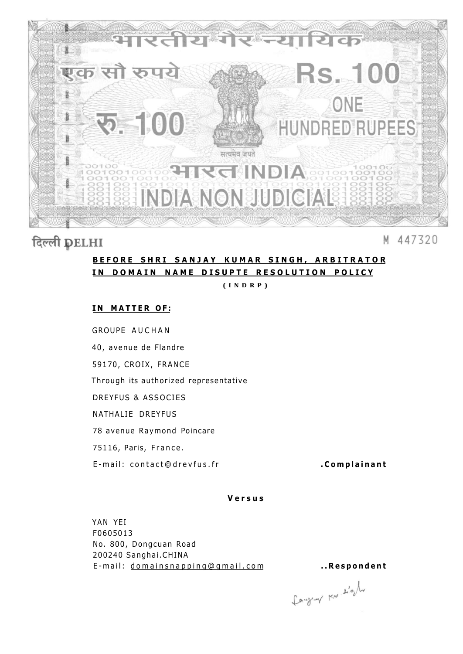

# दिल्ली DELHI

#### 447320 M

### **BEFOR E SHR I SANJA Y KUMA R SINGH , ARBITRATO R IN DOMAIN NAME DISUPTE RESOLUTION POLICY**

**(INDRP )** 

### **IN MATTER OF:**

GROUPE AUCHAN 40, avenue de Flandre 59170, CROIX, FRANCE Through its authorized representative DREYFUS & ASSOCIES NATHALIE DREYFUS 78 avenue Raymond Poincare 75116, Paris, France . E-mail: contact@drevfus.fr **. .Complainant** 

### **Versu s**

YAN YEI F0605013 No. 800, Dongcuan Road 200240 Sanghai.CHINA E-mail: [domainsnapping@gmail.co](mailto:domainsnapping@gmail.com)m ...Respondent

fangery par sight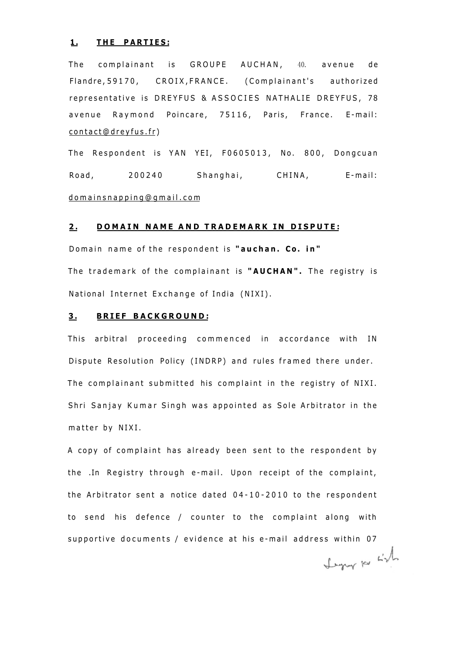#### **1.** THE PARTIES:

The complainant is GROUPE AUCHAN, 40. avenue de Flandre, 59170, CROIX, FRANCE. (Complainant's authorized representative is DREYFUS & ASSOCIES NATHALIE DREYFUS, 78 avenue Raymond Poincare, 75116, Paris, France. E-mail: [contact@dreyfus.fr](mailto:contact@dreyfus.fr) )

The Respondent is YAN YEI, F0605013, No. 800, Dongcuan Road, 200240 Shanghai, CHINA, E-mail: [domainsnapping@gmail.co](mailto:domainsnapping@gmail.com) m

#### **2 . DOMAI N NAM E AN D TRADEMAR K I N DISPUTE :**

Domain name of the respondent is "auchan. Co. in" The trademark of the complainant is "AUCHAN". The registry is National Internet Exchange of India (NIXI).

#### **3 . BRIE F BACKGROUND :**

This arbitral proceeding commenced in accordance with IN Dispute Resolution Policy (INDRP) and rules framed there under. The complainant submitted his complaint in the registry of NIXI. Shri Sanjay Kumar Singh was appointed as Sole Arbitrator in the matter by NIXI.

A copy of complaint has already been sent to the respondent by the .In Registry through e-mail. Upon receipt of the complaint, the Arbitrator sent a notice dated  $04-10-2010$  to the respondent to send his defence / counter to the complaint along with supportive documents / evidence at his e-mail address within 07 Legar por List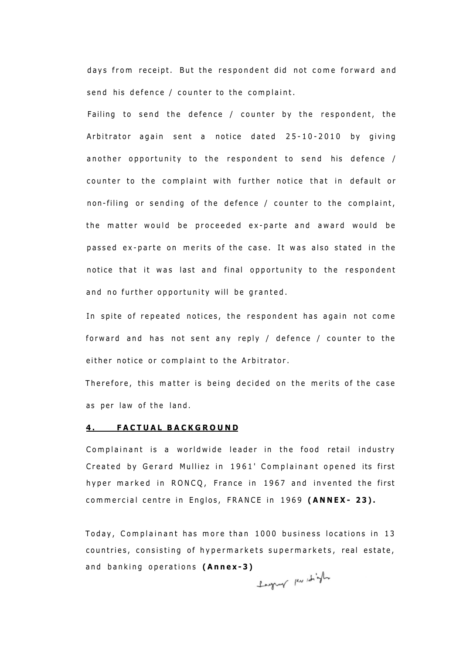days from receipt. But the respondent did not come forward and send his defence / counter to the complaint.

Failing to send the defence / counter by the respondent, the Arbitrator again sent a notice dated  $25-10-2010$  by giving another opportunity to the respondent to send his defence  $/$ counter to the complaint with further notice that in default or non-filing or sending of the defence / counter to the complaint, the matter would be proceeded ex-parte and award would be passed ex-parte on merits of the case. It was also stated in the notice that it was last and final opportunity to the respondent and no further opportunity will be granted.

In spite of repeated notices, the respondent has again not come forward and has not sent any reply / defence / counter to the either notice or complaint to the Arbitrator.

Therefore, this matter is being decided on the merits of the case as per law of the land.

#### **4 . FACTUA L BACKGROUN D**

Complainant is a worldwide leader in the food retail industry Created by Gerard Mulliez in 1961' Complainant opened its first hyper marked in RONCQ, France in 1967 and invented the first commercial centre in Englos, FRANCE in 1969 (ANNEX- 23).

Today, Complainant has more than 1000 business locations in 13 countries, consisting of hypermarkets supermarkets, real estate, and banking operations (Annex-3)<br>**Panel Replace in the part of the part of the part of the part of the part of the part of the set of the set of the set of the set of the set of the set of the set of the set of the set of**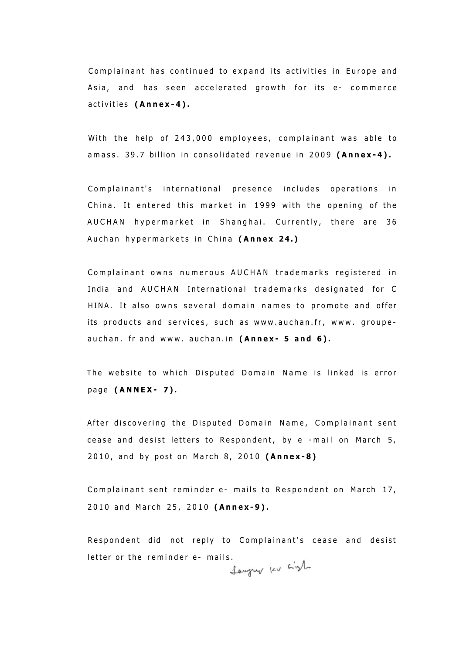Complainant has continued to expand its activities in Europe and Asia, and has seen accelerated growth for its e- commerce activities (Annex-4).

With the help of 243,000 employees, complainant was able to amass. 39.7 billion in consolidated revenue in 2009 (Annex-4).

Complainant's international presence includes operations in China. It entered this market in 1999 with the opening of the AUCHAN hypermarket in Shanghai. Currently, there are 36 Auchan hypermarkets in China (Annex 24.)

Complainant owns numerous AUCHAN trademarks registered in India and AUCHAN International trademarks designated for C HINA. It also owns several domain names to promote and offer its products and services, such as [www.auchan.fr](http://www.auchan.fr), www. groupeauchan. fr and www. auchan.in (Annex- 5 and 6).

The website to which Disputed Domain Name is linked is error pag e **(ANNEX - 7) .** 

After discovering the Disputed Domain Name, Complainant sent cease and desist letters to Respondent, by e -mail on March 5, 2010, and by post on March 8, 2010 (Annex-8)

Complainant sent reminder e- mails to Respondent on March 17, 2010 and March 25, 2010 (Annex-9).

Respondent did not reply to Complainant's cease and desist letter or the reminder e- mails.<br> $\int_{\mathbb{R}}$   $\int_{\mathbb{R}}$   $\int_{\mathbb{R}}$   $\int_{\mathbb{R}}$   $\int_{\mathbb{R}}$   $\int_{\mathbb{R}}$   $\int_{\mathbb{R}}$   $\int_{\mathbb{R}}$   $\int_{\mathbb{R}}$   $\int_{\mathbb{R}}$   $\int_{\mathbb{R}}$   $\int_{\mathbb{R}}$   $\int_{\mathbb{R}}$   $\int_{\mathbb{R}}$   $\int_{\mathbb{R}}$   $\int_{\mathbb{$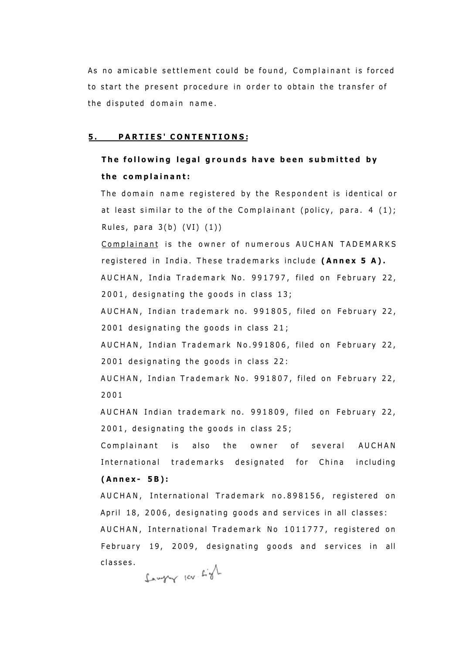As no amicable settlement could be found, Complainant is forced to start the present procedure in order to obtain the transfer of the disputed domain name.

#### **5 . PARTIES ' CONTENTIONS :**

# **The following legal grounds have been submitted by t h e complainant :**

The domain name registered by the Respondent is identical or at least similar to the of the Complainant (policy, para. 4  $(1)$ ; Rules, para  $3(b)$  (VI)  $(1)$ )

Complainant is the owner of numerous AUCHAN TADEMARKS registered in India. These trademarks include (Annex 5 A). AUCHAN, India Trademark No. 991797, filed on February 22,  $2001$ , designating the goods in class  $13$ ;

AUCHAN, Indian trademark no. 991805, filed on February 22,  $2001$  designating the goods in class  $21$ ;

AUCHAN, Indian Trademark No.991806, filed on February 22,  $2001$  designating the goods in class  $22$ :

AUCHAN, Indian Trademark No. 991807, filed on February 22, 200 1

AUCHAN Indian trademark no. 991809, filed on February 22,  $2001$ , designating the goods in class  $25$ ;

Complainant is also the owner of several AUCHAN International trademarks designated for China including **(Annex - 5B) :** 

AUCHAN, International Trademark no.898156, registered on April 18, 2006, designating goods and services in all classes: AUCHAN, International Trademark No 1011777, registered on February 19, 2009, designating goods and services in all classes .

Sawyny lev Light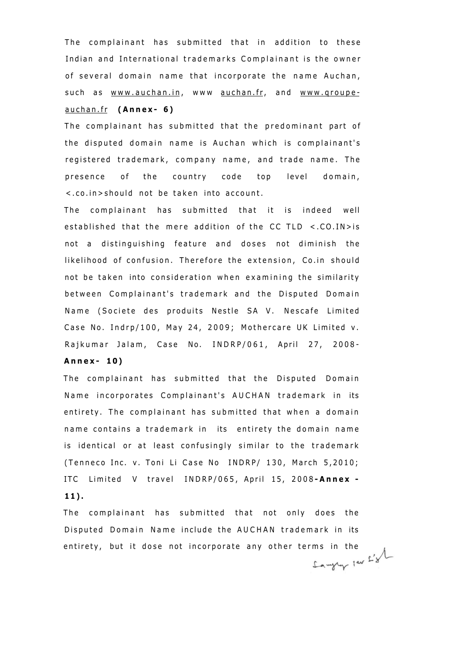The complainant has submitted that in addition to these Indian and International trademarks Complainant is the owner of several domain name that incorporate the name Auchan, such as [www.auchan.in](http://www.auchan.in), www [auchan.fr](http://auchan.fr), and www.groupe[auchan.f](http://auchan.fr) r **(Annex - 6 )** 

The complainant has submitted that the predominant part of the disputed domain name is Auchan which is complainant's registered trademark, company name, and trade name. The presence of the country code top level domain, <.co.in>should not be taken into account.

The complainant has submitted that it is indeed well established that the mere addition of the CC TLD  $\lt$ .CO.IN > is not a distinguishing feature and doses not diminish the likelihood of confusion. Therefore the extension, Co.in should not be taken into consideration when examining the similarity between Complainant's trademark and the Disputed Domain Name (Societe des produits Nestle SA V. Nescafe Limited Case No. Indrp/100, May 24, 2009; Mothercare UK Limited v. Rajkumar Jalam, Case No. INDRP/061, April 27, 2008-

### **Annex - 10 )**

The complainant has submitted that the Disputed Domain Name incorporates Complainant's AUCHAN trademark in its entirety. The complainant has submitted that when a domain name contains a trademark in its entirety the domain name is identical or at least confusingly similar to the trademark (Tenneco Inc. v. Toni Li Case No INDRP/ 130, March 5,2010; ITC Limited V travel INDRP/065, April 15, 2008-Annex -**11) .** 

The complainant has submitted that not only does the Disputed Domain Name include the AUCHAN trademark in its entirety, but it dose not incorporate any other terms in the  $\mathcal{L}'$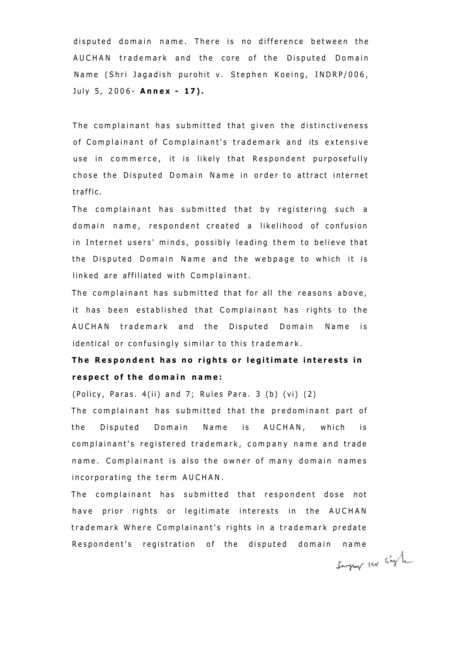disputed domain name. There is no difference between the AUCHAN trademark and the core of the Disputed Domain Name (Shri Jagadish purohit v. Stephen Koeing, INDRP/006, Jul y 5, 2006 - **Anne x - 17) .** 

The complainant has submitted that given the distinctiveness of Complainant of Complainant's trademark and its extensive use in commerce, it is likely that Respondent purposefully chose the Disputed Domain Name in order to attract internet traffic .

The complainant has submitted that by registering such a domain name, respondent created a likelihood of confusion in Internet users' minds, possibly leading them to believe that the Disputed Domain Name and the webpage to which it is linked are affiliated with Complainant.

The complainant has submitted that for all the reasons above, it has been established that Complainant has rights to the AUCHAN trademark and the Disputed Domain Name is identical or confusingly similar to this trademark.

# **The Respondent has no rights or legitimate interests in respect of the domain name:**

(Policy, Paras.  $4(ii)$  and 7; Rules Para. 3 (b) (vi) (2)

The complainant has submitted that the predominant part of the Disputed Domain Name is AUCHAN, which is complainant's registered trademark, company name and trade name. Complainant is also the owner of many domain names incorporating the term AUCHAN.

The complainant has submitted that respondent dose not have prior rights or legitimate interests in the AUCHAN trademark Where Complainant's rights in a trademark predate Respondent's registration of the disputed domain name<br> $\int_{\text{fctan} f(x)} \int_{-\infty}^{\infty} f(x) dx$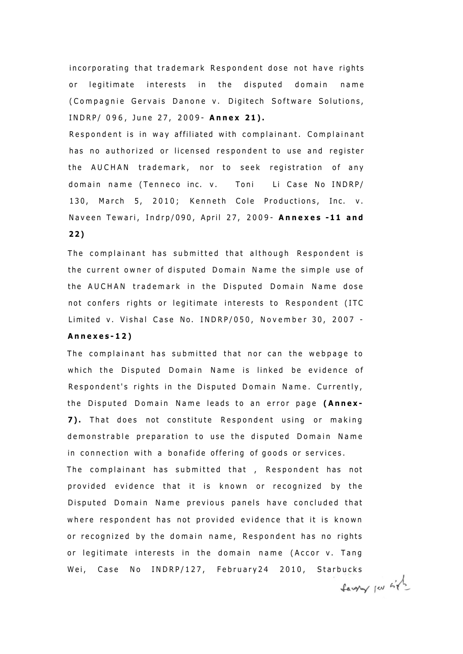incorporating that trademark Respondent dose not have rights or legitimate interests in the disputed domain name (Compagnie Gervais Danone v. Digitech Software Solutions, INDRP/ 096, June 27, 2009 - Annex 21).

Respondent is in way affiliated with complainant. Complainant has no authorized or licensed respondent to use and register the AUCHAN trademark, nor to seek registration of any domain name (Tenneco inc. v. Toni Li Case No INDRP/ 130, March 5, 2010; Kenneth Cole Productions, Inc. v. Navee n Tewari , Indrp/090 , Apri l 27 , 2009 - **Annexe s -1 1 an d 2 2 )** 

The complainant has submitted that although Respondent is the current owner of disputed Domain Name the simple use of the AUCHAN trademark in the Disputed Domain Name dose not confers rights or legitimate interests to Respondent (ITC Limited v. Vishal Case No. INDRP/050, November 30, 2007 -

### **Annexes-12 )**

The complainant has submitted that nor can the webpage to which the Disputed Domain Name is linked be evidence of Respondent's rights in the Disputed Domain Name. Currently, the Disputed Domain Name leads to an error page (Annex-7). That does not constitute Respondent using or making demonstrable preparation to use the disputed Domain Name in connection with a bonafide offering of goods or services. The complainant has submitted that , Respondent has not provided evidence that it is known or recognized by the Disputed Domain Name previous panels have concluded that where respondent has not provided evidence that it is known or recognized by the domain name, Respondent has no rights or legitimate interests in the domain name (Accor v. Tang Wei, Case No INDRP/127, February24 2010, Starbucks

Lawry per site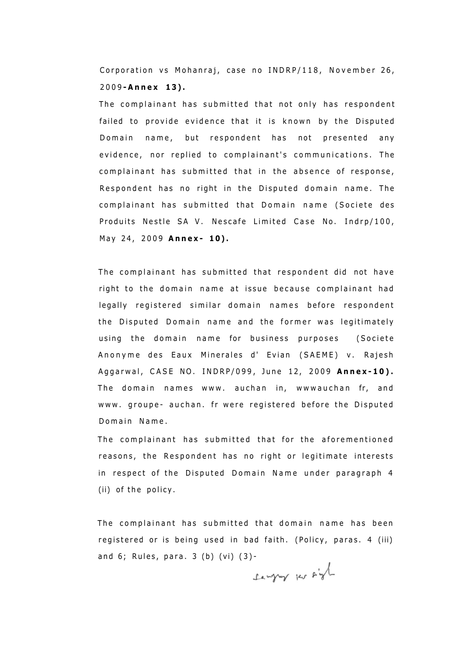Corporation vs Mohanraj, case no INDRP/118, November 26, 2009 **-Anne x 13) .** 

The complainant has submitted that not only has respondent failed to provide evidence that it is known by the Disputed Domain name, but respondent has not presented any evidence, nor replied to complainant's communications. The complainant has submitted that in the absence of response, Respondent has no right in the Disputed domain name. The complainant has submitted that Domain name (Societe des Produits Nestle SA V. Nescafe Limited Case No. Indrp/100, M a y 24 , 200 9 **Annex - 10) .** 

The complainant has submitted that respondent did not have right to the domain name at issue because complainant had legally registered similar domain names before respondent the Disputed Domain name and the former was legitimately using the domain name for business purposes (Societe Anonyme des Eaux Minerales d' Evian (SAEME) v. Rajesh Aggarwal, CASE NO. INDRP/099, June 12, 2009 Annex-10). The domain names www. auchan in, wwwauchan fr, and www. groupe- auchan. fr were registered before the Disputed Domain Name.

The complainant has submitted that for the aforementioned reasons, the Respondent has no right or legitimate interests in respect of the Disputed Domain Name under paragraph 4 (ii) of the policy.

The complainant has submitted that domain name has been registered or is being used in bad faith. (Policy, paras. 4 (iii) and  $6$ ; Rules, para.  $3$  (b) (vi)  $(3)$ -

Sawyny per sigh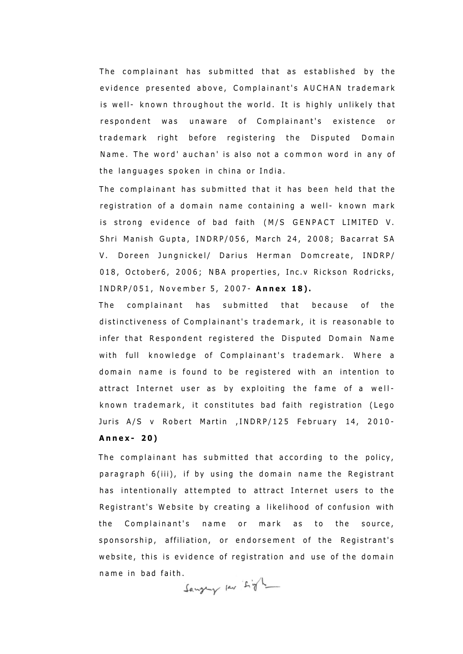The complainant has submitted that as established by the evidence presented above, Complainant's AUCHAN trademark is well- known throughout the world. It is highly unlikely that respondent was unaware of Complainant's existence or trademark right before registering the Disputed Domain Name. The word' auchan' is also not a common word in any of the languages spoken in china or India.

The complainant has submitted that it has been held that the registration of a domain name containing a well- known mark is strong evidence of bad faith (M/S GENPACT LIMITED V. Shri Manish Gupta, INDRP/056, March 24, 2008; Bacarrat SA V. Doreen Jungnickel/ Darius Herman Domcreate, INDRP/ 018, October6, 2006; NBA properties, Inc.v Rickson Rodricks, INDRP/051 , Novembe r 5 , 2007 - **Anne x 18) .** 

The complainant has submitted that because of the distinctiveness of Complainant's trademark, it is reasonable to infer that Respondent registered the Disputed Domain Name with full knowledge of Complainant's trademark. Where a domain name is found to be registered with an intention to attract Internet user as by exploiting the fame of a wellknown trademark, it constitutes bad faith registration (Lego Juris A/S v Robert Martin , INDRP/125 February 14, 2010-**Annex - 20 )** 

The complainant has submitted that according to the policy, paragraph 6(iii), if by using the domain name the Registrant has intentionally attempted to attract Internet users to the Registrant's Website by creating a likelihood of confusion with the Complainant's name or mark as to the source, sponsorship, affiliation, or endorsement of the Registrant's website, this is evidence of registration and use of the domain name in bad faith.<br> $\int_{\mathcal{A}} \exp\left(-\frac{1}{2}\right) e^{-\frac{1}{2}t} dt$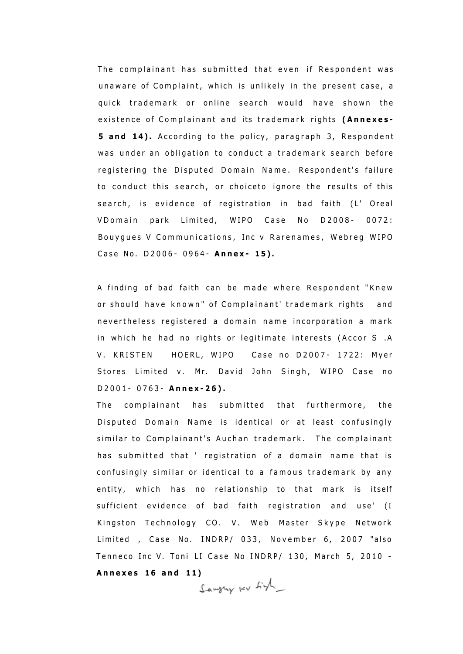The complainant has submitted that even if Respondent was unaware of Complaint, which is unlikely in the present case, a quick trademark or online search would have shown the existence of Complainant and its trademark rights (Annexes-**5 and 14).** According to the policy, paragraph 3, Respondent was under an obligation to conduct a trademark search before registering the Disputed Domain Name. Respondent's failure to conduct this search, or choiceto ignore the results of this search, is evidence of registration in bad faith (L' Oreal VDomain park Limited, WIPO Case No D2008- 0072: Bouygues V Communications, Inc v Rarenames, Webreg WIPO Case No. D2006- 0964- Annex- 15).

A finding of bad faith can be made where Respondent "Knew or should have known" of Complainant' trademark rights and nevertheless registered a domain name incorporation a mark in which he had no rights or legitimate interests (Accor S .A V. KRISTEN HOERL, WIPO Case no D2007- 1722: Myer Stores Limited v. Mr. David John Singh, WIPO Case no D2001 - 0763 - **Annex-26) .** 

The complainant has submitted that furthermore, the Disputed Domain Name is identical or at least confusingly similar to Complainant's Auchan trademark. The complainant has submitted that ' registration of a domain name that is confusingly similar or identical to a famous trademark by any entity, which has no relationship to that mark is itself sufficient evidence of bad faith registration and use' (I Kingston Technology CO. V. Web Master Skype Network Limited , Case No. INDRP/ 033, November 6, 2007 "also Tenneco Inc V. Toni LI Case No INDRP/ 130, March 5, 2010 -**Annexe s 1 6 an d 11 )** 

Sawying kv Ligh\_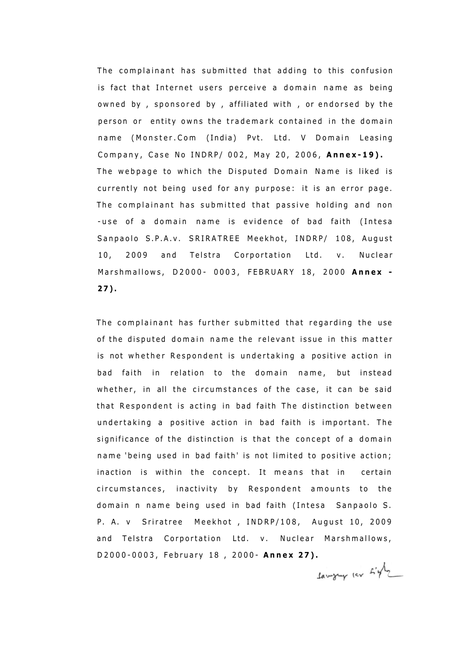The complainant has submitted that adding to this confusion is fact that Internet users perceive a domain name as being owned by, sponsored by, affiliated with, or endorsed by the person or entity owns the trademark contained in the domain name (Monster.Com (India) Pvt. Ltd. V Domain Leasing Company, Case No INDRP/ 002, May 20, 2006, Annex-19). The webpage to which the Disputed Domain Name is liked is currently not being used for any purpose: it is an error page. The complainant has submitted that passive holding and non -use of a domain name is evidence of bad faith (Intesa Sanpaolo S.P.A.v. SRIRATREE Meekhot, INDRP/ 108, August 10, 2009 and Telstra Corportation Ltd. v. Nuclear Marshmallows , D2000 - 0003 , FEBRUAR Y 18 , 200 0 **Anne x - 27) .** 

The complainant has further submitted that regarding the use of the disputed domain name the relevant issue in this matter is not whether Respondent is undertaking a positive action in bad faith in relation to the domain name, but instead whether, in all the circumstances of the case, it can be said that Respondent is acting in bad faith The distinction between undertaking a positive action in bad faith is important. The significance of the distinction is that the concept of a domain name 'being used in bad faith' is not limited to positive action; inaction is within the concept. It means that in certain circumstances, inactivity by Respondent amounts to the domain n name being used in bad faith (Intesa Sanpaolo S. P. A. v Sriratree Meekhot, INDRP/108, August 10, 2009 and Telstra Corportation Ltd. v. Nuclear Marshmallows, D2000-0003, February 18, 2000- Annex 27).

Lawyry lev Light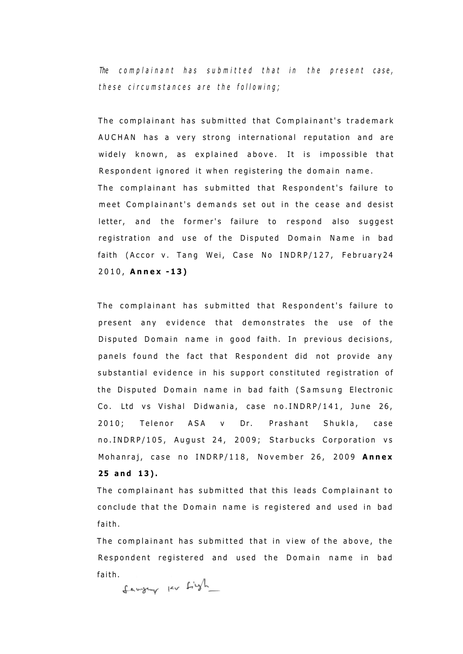*The complainant has submitted that in the present case, thes e circumstance s ar e th e following ;* 

The complainant has submitted that Complainant's trademark AUCHAN has a very strong international reputation and are widely known, as explained above. It is impossible that Respondent ignored it when registering the domain name. The complainant has submitted that Respondent's failure to meet Complainant's demands set out in the cease and desist letter, and the former's failure to respond also suggest registration and use of the Disputed Domain Name in bad faith (Accor v. Tang Wei, Case No INDRP/127, February24 2010 , **Anne x -13 )** 

The complainant has submitted that Respondent's failure to present any evidence that demonstrates the use of the Disputed Domain name in good faith. In previous decisions, panels found the fact that Respondent did not provide any substantial evidence in his support constituted registration of the Disputed Domain name in bad faith (Samsung Electronic Co. Ltd vs Vishal Didwania, case no.INDRP/141, June 26, 2010; Telenor ASA v Dr. Prashant Shukla, case no.INDRP/105, August 24, 2009; Starbucks Corporation vs Mohanraj, case no INDRP/118, November 26, 2009 Annex **25 an d 13) .** 

The complainant has submitted that this leads Complainant to conclude that the Domain name is registered and used in bad faith .

The complainant has submitted that in view of the above, the Respondent registered and used the Domain name in bad

faith.<br>fawywy ku Ligh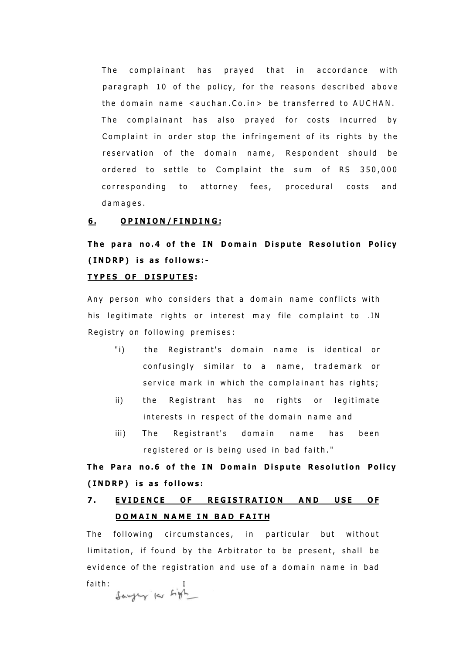The complainant has prayed that in accordance with paragraph 10 of the policy, for the reasons described above the domain name  $\leq$ auchan.Co.in > be transferred to AUCHAN. The complainant has also prayed for costs incurred by Complaint in order stop the infringement of its rights by the reservation of the domain name, Respondent should be ordered to settle to Complaint the sum of RS 350,000 corresponding to attorney fees, procedural costs and damages .

### **6 . OPINION/FINDING :**

**T h e par a no. 4 o f th e I N Domai n Disput e Resolutio n Policy (INDRP ) i s a s follows: -**

### **TYPE S O F DISPUTES :**

Any person who considers that a domain name conflicts with his legitimate rights or interest may file complaint to .IN Registry on following premises:

- "i) the Registrant's domain name is identical or confusingly similar to a name, trademark or service mark in which the complainant has rights;
- ii) the Registrant has no rights or legitimate interests in respect of the domain name and
- iii) The Registrant's domain name has been registered or is being used in bad faith."

**T h e Par a no. 6 o f th e I N Domai n Disput e Resolutio n Policy (INDRP ) i s a s follows :** 

### 7. **EVIDENCE OF REGISTRATION AND USE OF DOMAIN NAME IN BAD FAITH**

The following circumstances, in particular but without limitation, if found by the Arbitrator to be present, shall be evidence of the registration and use of a domain name in bad faith:<br>Sawyey les Ligh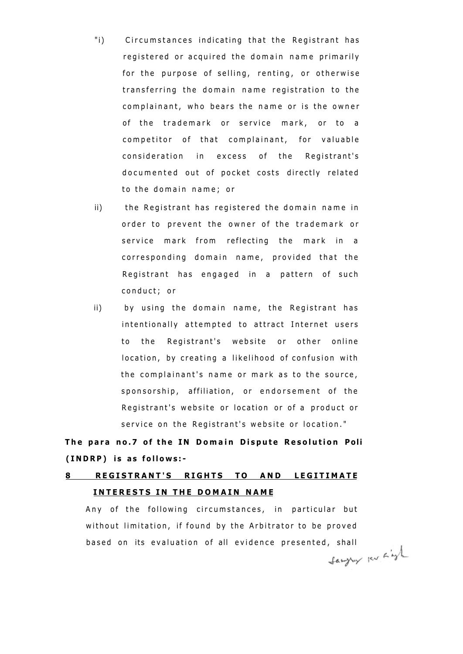- "i) Circumstances indicating that the Registrant has registered or acquired the domain name primarily for the purpose of selling, renting, or otherwise transferring the domain name registration to the complainant, who bears the name or is the owner of the trademark or service mark, or to a competitor of that complainant, for valuable consideration in excess of the Registrant's documented out of pocket costs directly related to the domain name; or
- ii) the Registrant has registered the domain name in order to prevent the owner of the trademark or service mark from reflecting the mark in a corresponding domain name, provided that the Registrant has engaged in a pattern of such conduct; or
- ii) by using the domain name, the Registrant has intentionally attempted to attract Internet users to the Registrant's website or other online location, by creating a likelihood of confusion with the complainant's name or mark as to the source, sponsorship, affiliation, or endorsement of the Registrant's website or location or of a product or service on the Registrant's website or location."

**T h e par a no. 7 o f th e I N Domai n Disput e Resolutio n Poli (INDRP ) i s a s follows: -**

# **8 REGISTRANT'S RIGHTS TO AND LEGITIMATE INTERESTS IN THE DOMAIN NAME**

Any of the following circumstances, in particular but without limitation, if found by the Arbitrator to be proved based on its evaluation of all evidence presented, shall<br> $\mathcal{L}_{\text{new}}$  is  $\mathcal{L}_{\text{new}}$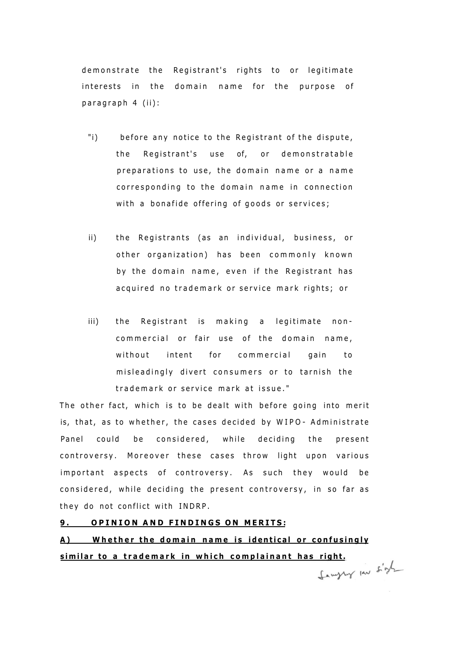demonstrate the Registrant's rights to or legitimate interests in the domain name for the purpose of paragraph 4 (ii):

- "i) before any notice to the Registrant of the dispute, the Registrant's use of, or demonstratable preparations to use, the domain name or a name corresponding to the domain name in connection with a bonafide offering of goods or services;
- ii) the Registrants (as an individual, business, or other organization) has been commonly known by the domain name, even if the Registrant has acquired no trademark or service mark rights; or
- iii) the Registrant is making a legitimate noncommercial or fair use of the domain name, without intent for commercial gain to misleadingly divert consumers or to tarnish the trademark or service mark at issue."

The other fact, which is to be dealt with before going into merit is, that, as to whether, the cases decided by WIPO- Administrate Panel could be considered, while deciding the present controversy. Moreover these cases throw light upon various important aspects of controversy. As such they would be considered, while deciding the present controversy, in so far as they do not conflict with INDRP.

### **9 . OPINIO N AN D FINDING S O N MERITS :**

**A ) Whethe r th e domai n nam e i s identica l o r confusingl y similar to a trademark in which complainant has right.**<br>( المسلم الصحيحة )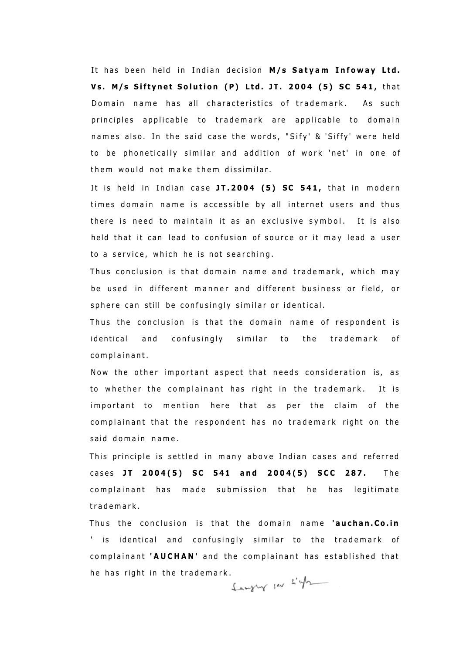It has been held in Indian decision M/s Satyam Infoway Ltd. **V s . M/s Siftyne t Solutio n (P ) Ltd. JT . 200 4 (5 ) S C 541 ,** tha t Domain name has all characteristics of trademark. As such principles applicable to trademark are applicable to domain names also. In the said case the words, "Sify' & 'Siffy' were held to be phonetically similar and addition of work 'net' in one of them would not make them dissimilar.

It is held in Indian case JT.2004 (5) SC 541, that in modern times domain name is accessible by all internet users and thus there is need to maintain it as an exclusive symbol. It is also held that it can lead to confusion of source or it may lead a user to a service, which he is not searching.

Thus conclusion is that domain name and trademark, which may be used in different manner and different business or field, or sphere can still be confusingly similar or identical.

Thus the conclusion is that the domain name of respondent is identical and confusingly similar to the trademark of complainant.

Now the other important aspect that needs consideration is, as to whether the complainant has right in the trademark. It is important to mention here that as per the claim of the complainant that the respondent has no trademark right on the said domain name.

This principle is settled in many above Indian cases and referred case s **J T 2004(5 ) S C 54 1 an d 2004(5 ) SC C 287 .** Th e complainant has made submission that he has legitimate trademark .

Thus the conclusion is that the domain name 'auchan. Co.in ' is identical and confusingly similar to the trademark of complainant 'AUCHAN' and the complainant has established that he has right in the trademark.<br> $\int_{x}^{x} w \, dx$  is  $\int_{x}^{x} w \, dx$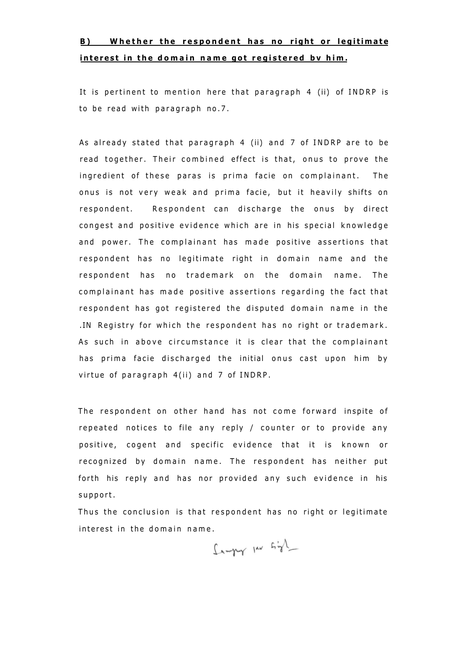### **B**) Whether the respondent has no right or legitimate **interest in the domain name got registered by him.**

It is pertinent to mention here that paragraph 4 (ii) of INDRP is to be read with paragraph no.7.

As already stated that paragraph 4 (ii) and 7 of INDRP are to be read together. Their combined effect is that, onus to prove the ingredient of these paras is prima facie on complainant. The onus is not very weak and prima facie, but it heavily shifts on respondent. Respondent can discharge the onus by direct congest and positive evidence which are in his special knowledge and power. The complainant has made positive assertions that respondent has no legitimate right in domain name and the respondent has no trademark on the domain name. The complainant has made positive assertions regarding the fact that respondent has got registered the disputed domain name in the . IN Registry for which the respondent has no right or trademark. As such in above circumstance it is clear that the complainant has prima facie discharged the initial onus cast upon him by virtue of paragraph  $4(ii)$  and  $7$  of INDRP.

The respondent on other hand has not come forward inspite of repeated notices to file any reply / counter or to provide any positive, cogent and specific evidence that it is known or recognized by domain name. The respondent has neither put forth his reply and has nor provided any such evidence in his support.

Thus the conclusion is that respondent has no right or legitimate interest in the domain name.

Sawpy In Sigh